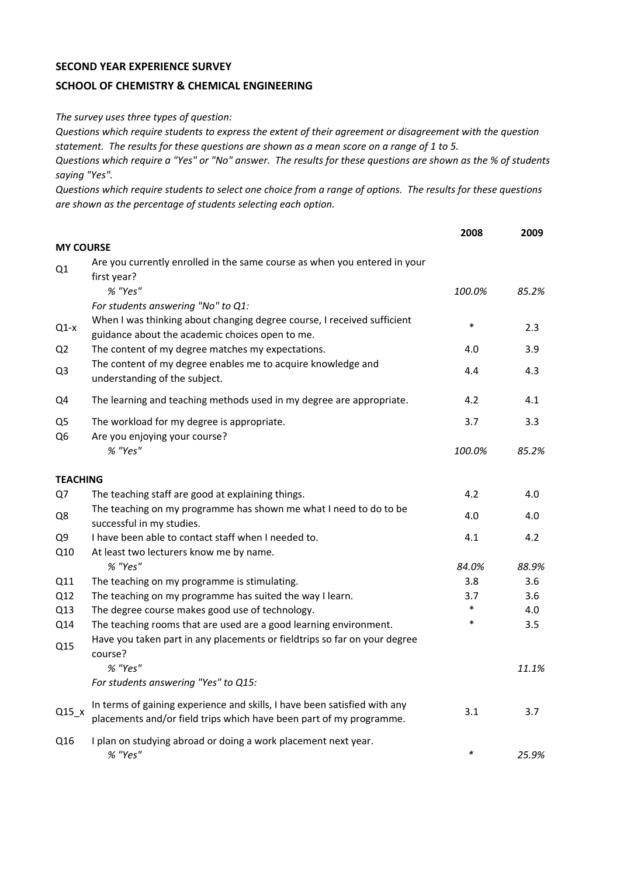## **SECOND YEAR EXPERIENCE SURVEY**

## **SCHOOL OF CHEMISTRY & CHEMICAL ENGINEERING**

*The survey uses three types of question:*

*Questions which require students to express the extent of their agreement or disagreement with the question statement. The results for these questions are shown as a mean score on a range of 1 to 5.*

*Questions which require a "Yes" or "No" answer. The results for these questions are shown as the % of students saying "Yes".*

*Questions which require students to select one choice from a range of options. The results for these questions are shown as the percentage of students selecting each option.*

|                                  |                                                                                                                                                  | 2008   | 2009  |
|----------------------------------|--------------------------------------------------------------------------------------------------------------------------------------------------|--------|-------|
| <b>MY COURSE</b>                 |                                                                                                                                                  |        |       |
| Q1                               | Are you currently enrolled in the same course as when you entered in your<br>first year?                                                         |        |       |
|                                  | % "Yes"                                                                                                                                          | 100.0% | 85.2% |
|                                  | For students answering "No" to Q1:                                                                                                               |        |       |
| $Q1-x$                           | When I was thinking about changing degree course, I received sufficient<br>guidance about the academic choices open to me.                       | $\ast$ | 2.3   |
| Q <sub>2</sub>                   | The content of my degree matches my expectations.                                                                                                | 4.0    | 3.9   |
| Q <sub>3</sub>                   | The content of my degree enables me to acquire knowledge and<br>understanding of the subject.                                                    | 4.4    | 4.3   |
| Q4                               | The learning and teaching methods used in my degree are appropriate.                                                                             | 4.2    | 4.1   |
| Q <sub>5</sub><br>Q <sub>6</sub> | The workload for my degree is appropriate.<br>Are you enjoying your course?                                                                      | 3.7    | 3.3   |
|                                  | % "Yes"                                                                                                                                          | 100.0% | 85.2% |
| <b>TEACHING</b>                  |                                                                                                                                                  |        |       |
| Q7                               | The teaching staff are good at explaining things.                                                                                                | 4.2    | 4.0   |
| Q8                               | The teaching on my programme has shown me what I need to do to be<br>successful in my studies.                                                   | 4.0    | 4.0   |
| Q <sub>9</sub>                   | I have been able to contact staff when I needed to.                                                                                              | 4.1    | 4.2   |
| Q10                              | At least two lecturers know me by name.                                                                                                          |        |       |
|                                  | % "Yes"                                                                                                                                          | 84.0%  | 88.9% |
| Q11                              | The teaching on my programme is stimulating.                                                                                                     | 3.8    | 3.6   |
| Q12                              | The teaching on my programme has suited the way I learn.                                                                                         | 3.7    | 3.6   |
| Q13                              | The degree course makes good use of technology.                                                                                                  | $\ast$ | 4.0   |
| Q14                              | The teaching rooms that are used are a good learning environment.                                                                                | $\ast$ | 3.5   |
| Q15                              | Have you taken part in any placements or fieldtrips so far on your degree<br>course?                                                             |        |       |
|                                  | % "Yes"                                                                                                                                          |        | 11.1% |
|                                  | For students answering "Yes" to Q15:                                                                                                             |        |       |
| $Q15_x$                          | In terms of gaining experience and skills, I have been satisfied with any<br>placements and/or field trips which have been part of my programme. | 3.1    | 3.7   |
| Q16                              | I plan on studying abroad or doing a work placement next year.<br>% "Yes"                                                                        | $\ast$ | 25.9% |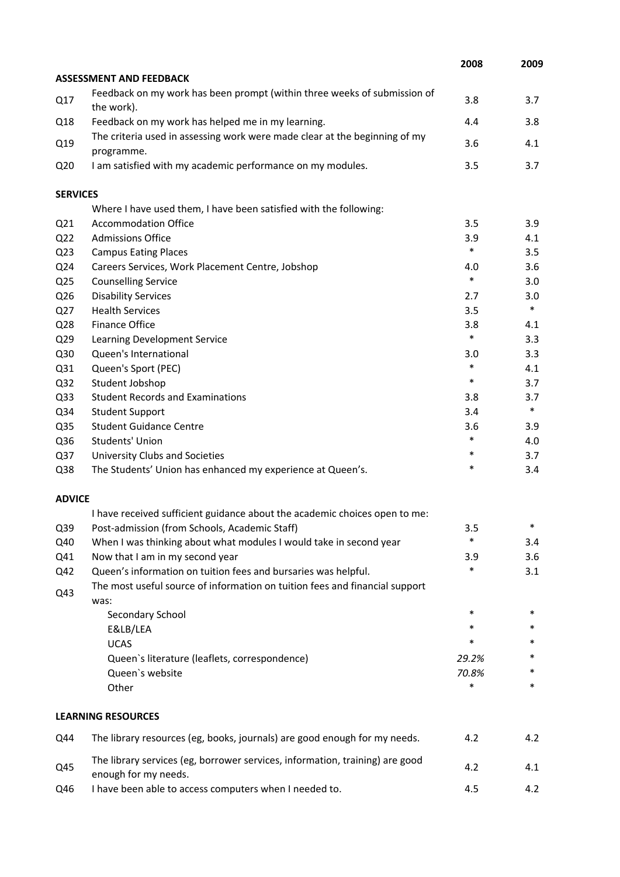|                 |                                                                                                      | 2008   | 2009   |
|-----------------|------------------------------------------------------------------------------------------------------|--------|--------|
|                 | <b>ASSESSMENT AND FEEDBACK</b>                                                                       |        |        |
| Q17             | Feedback on my work has been prompt (within three weeks of submission of<br>the work).               | 3.8    | 3.7    |
| Q18             | Feedback on my work has helped me in my learning.                                                    | 4.4    | 3.8    |
| Q19             | The criteria used in assessing work were made clear at the beginning of my<br>programme.             | 3.6    | 4.1    |
| Q <sub>20</sub> | I am satisfied with my academic performance on my modules.                                           | 3.5    | 3.7    |
| <b>SERVICES</b> |                                                                                                      |        |        |
|                 | Where I have used them, I have been satisfied with the following:                                    |        |        |
| Q <sub>21</sub> | <b>Accommodation Office</b>                                                                          | 3.5    | 3.9    |
| Q <sub>22</sub> | <b>Admissions Office</b>                                                                             | 3.9    | 4.1    |
| Q <sub>23</sub> | <b>Campus Eating Places</b>                                                                          | $\ast$ | 3.5    |
| Q24             | Careers Services, Work Placement Centre, Jobshop                                                     | 4.0    | 3.6    |
| Q <sub>25</sub> | <b>Counselling Service</b>                                                                           | $\ast$ | 3.0    |
| Q26             | <b>Disability Services</b>                                                                           | 2.7    | 3.0    |
| Q27             | <b>Health Services</b>                                                                               | 3.5    | $\ast$ |
| Q28             | <b>Finance Office</b>                                                                                | 3.8    | 4.1    |
| Q29             | Learning Development Service                                                                         | $\ast$ | 3.3    |
| Q30             | Queen's International                                                                                | 3.0    | 3.3    |
| Q31             | Queen's Sport (PEC)                                                                                  | $\ast$ | 4.1    |
| Q <sub>32</sub> | Student Jobshop                                                                                      | $\ast$ | 3.7    |
| Q <sub>33</sub> | <b>Student Records and Examinations</b>                                                              | 3.8    | 3.7    |
| Q34             | <b>Student Support</b>                                                                               | 3.4    | $\ast$ |
| Q <sub>35</sub> | <b>Student Guidance Centre</b>                                                                       | 3.6    | 3.9    |
| Q36             | Students' Union                                                                                      | $\ast$ | 4.0    |
| Q37             | University Clubs and Societies                                                                       | $\ast$ | 3.7    |
| Q38             | The Students' Union has enhanced my experience at Queen's.                                           | $\ast$ | 3.4    |
| <b>ADVICE</b>   |                                                                                                      |        |        |
|                 | I have received sufficient guidance about the academic choices open to me:                           |        |        |
| Q39             | Post-admission (from Schools, Academic Staff)                                                        | 3.5    | ∗      |
| Q40             | When I was thinking about what modules I would take in second year                                   | $\ast$ | 3.4    |
| Q41             | Now that I am in my second year                                                                      | 3.9    | 3.6    |
| Q42             | Queen's information on tuition fees and bursaries was helpful.                                       | *      | 3.1    |
| Q43             | The most useful source of information on tuition fees and financial support<br>was:                  |        |        |
|                 | Secondary School                                                                                     | $\ast$ | $\ast$ |
|                 | E&LB/LEA                                                                                             | $\ast$ | *      |
|                 | <b>UCAS</b>                                                                                          | *      | *      |
|                 | Queen's literature (leaflets, correspondence)                                                        | 29.2%  | *      |
|                 | Queen's website                                                                                      | 70.8%  |        |
|                 | Other                                                                                                | $\ast$ | *      |
|                 | <b>LEARNING RESOURCES</b>                                                                            |        |        |
| Q44             | The library resources (eg, books, journals) are good enough for my needs.                            | 4.2    | 4.2    |
| Q45             | The library services (eg, borrower services, information, training) are good<br>enough for my needs. | 4.2    | 4.1    |
| Q46             | I have been able to access computers when I needed to.                                               | 4.5    | 4.2    |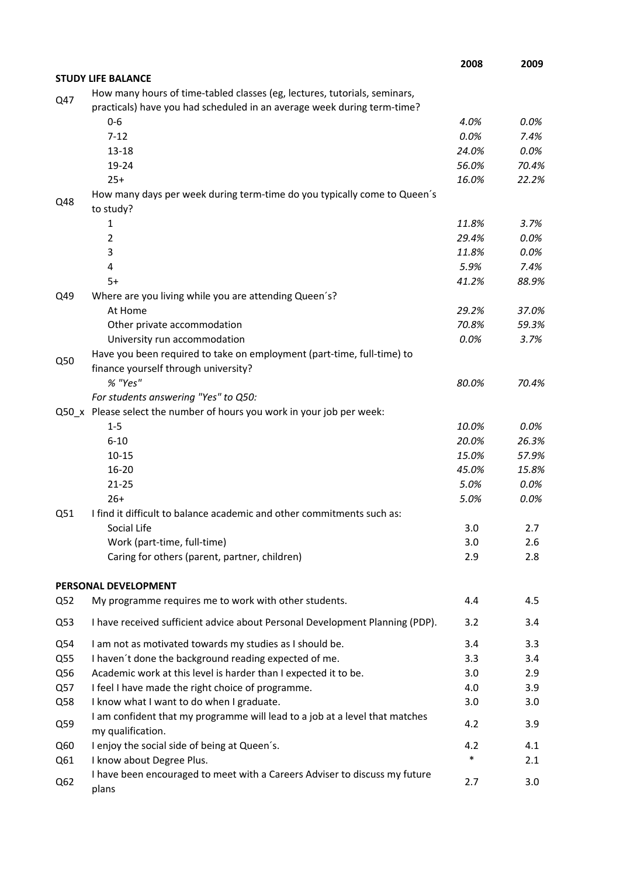|                 |                                                                                                  | 2008   | 2009    |
|-----------------|--------------------------------------------------------------------------------------------------|--------|---------|
|                 | <b>STUDY LIFE BALANCE</b>                                                                        |        |         |
| Q47             | How many hours of time-tabled classes (eg, lectures, tutorials, seminars,                        |        |         |
|                 | practicals) have you had scheduled in an average week during term-time?                          |        |         |
|                 | $0-6$                                                                                            | 4.0%   | 0.0%    |
|                 | $7 - 12$                                                                                         | 0.0%   | 7.4%    |
|                 | $13 - 18$                                                                                        | 24.0%  | 0.0%    |
|                 | 19-24                                                                                            | 56.0%  | 70.4%   |
|                 | $25+$                                                                                            | 16.0%  | 22.2%   |
| Q48             | How many days per week during term-time do you typically come to Queen's<br>to study?            |        |         |
|                 | 1                                                                                                | 11.8%  | 3.7%    |
|                 | $\overline{2}$                                                                                   | 29.4%  | 0.0%    |
|                 | 3                                                                                                | 11.8%  | 0.0%    |
|                 | 4                                                                                                | 5.9%   | 7.4%    |
|                 | $5+$                                                                                             | 41.2%  | 88.9%   |
| Q49             | Where are you living while you are attending Queen's?                                            |        |         |
|                 | At Home                                                                                          | 29.2%  | 37.0%   |
|                 | Other private accommodation                                                                      | 70.8%  | 59.3%   |
|                 | University run accommodation                                                                     | 0.0%   | 3.7%    |
| Q50             | Have you been required to take on employment (part-time, full-time) to                           |        |         |
|                 | finance yourself through university?                                                             |        |         |
|                 | % "Yes"                                                                                          | 80.0%  | 70.4%   |
|                 | For students answering "Yes" to Q50:                                                             |        |         |
|                 | Q50_x Please select the number of hours you work in your job per week:                           |        |         |
|                 | $1 - 5$                                                                                          | 10.0%  | $0.0\%$ |
|                 | $6 - 10$                                                                                         | 20.0%  | 26.3%   |
|                 | $10 - 15$                                                                                        | 15.0%  | 57.9%   |
|                 | $16 - 20$                                                                                        | 45.0%  | 15.8%   |
|                 | $21 - 25$                                                                                        | 5.0%   | 0.0%    |
|                 | $26+$                                                                                            | 5.0%   | 0.0%    |
| Q51             | I find it difficult to balance academic and other commitments such as:                           |        |         |
|                 | Social Life                                                                                      | 3.0    | 2.7     |
|                 | Work (part-time, full-time)                                                                      | 3.0    | 2.6     |
|                 | Caring for others (parent, partner, children)                                                    | 2.9    | 2.8     |
|                 | PERSONAL DEVELOPMENT                                                                             |        |         |
| Q <sub>52</sub> | My programme requires me to work with other students.                                            | 4.4    | 4.5     |
| Q53             | I have received sufficient advice about Personal Development Planning (PDP).                     | 3.2    | 3.4     |
| Q54             | I am not as motivated towards my studies as I should be.                                         | 3.4    | 3.3     |
| Q55             | I haven't done the background reading expected of me.                                            | 3.3    | 3.4     |
| Q56             | Academic work at this level is harder than I expected it to be.                                  | 3.0    | 2.9     |
| Q57             | I feel I have made the right choice of programme.                                                | 4.0    | 3.9     |
| Q58             | I know what I want to do when I graduate.                                                        | 3.0    | 3.0     |
| Q59             | I am confident that my programme will lead to a job at a level that matches<br>my qualification. | 4.2    | 3.9     |
| Q60             | I enjoy the social side of being at Queen's.                                                     | 4.2    | 4.1     |
| Q61             | I know about Degree Plus.                                                                        | $\ast$ | 2.1     |
| Q <sub>62</sub> | I have been encouraged to meet with a Careers Adviser to discuss my future<br>plans              | 2.7    | 3.0     |